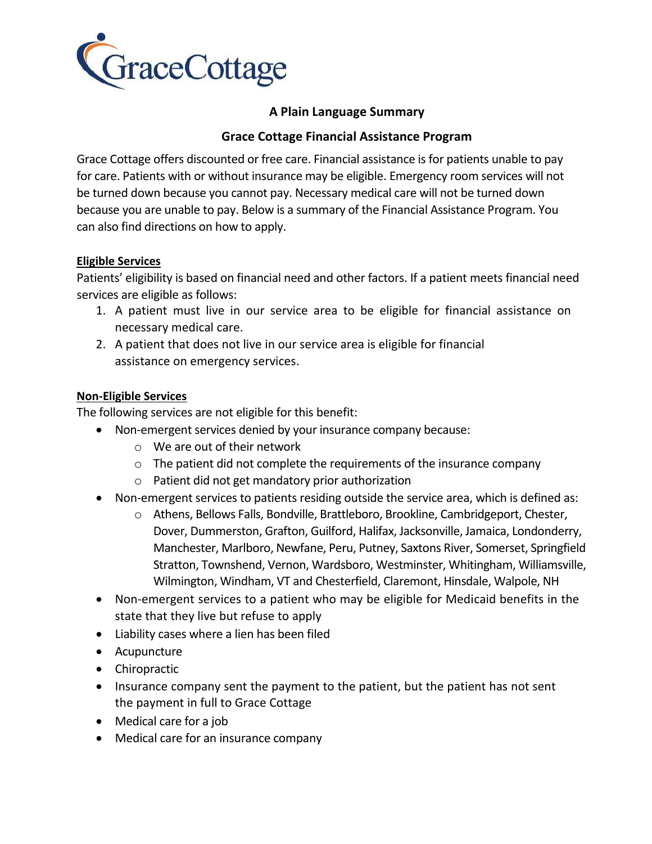

# **A Plain Language Summary**

## **Grace Cottage Financial Assistance Program**

Grace Cottage offers discounted or free care. Financial assistance is for patients unable to pay for care. Patients with or without insurance may be eligible. Emergency room services will not be turned down because you cannot pay. Necessary medical care will not be turned down because you are unable to pay. Below is a summary of the Financial Assistance Program. You can also find directions on how to apply.

## **Eligible Services**

Patients' eligibility is based on financial need and other factors. If a patient meets financial need services are eligible as follows:

- 1. A patient must live in our service area to be eligible for financial assistance on necessary medical care.
- 2. A patient that does not live in our service area is eligible for financial assistance on emergency services.

### **Non-Eligible Services**

The following services are not eligible for this benefit:

- Non-emergent services denied by your insurance company because:
	- o We are out of their network
	- $\circ$  The patient did not complete the requirements of the insurance company
	- o Patient did not get mandatory prior authorization
- Non-emergent services to patients residing outside the service area, which is defined as:
	- o Athens, Bellows Falls, Bondville, Brattleboro, Brookline, Cambridgeport, Chester, Dover, Dummerston, Grafton, Guilford, Halifax, Jacksonville, Jamaica, Londonderry, Manchester, Marlboro, Newfane, Peru, Putney, Saxtons River, Somerset, Springfield Stratton, Townshend, Vernon, Wardsboro, Westminster, Whitingham, Williamsville, Wilmington, Windham, VT and Chesterfield, Claremont, Hinsdale, Walpole, NH
- Non-emergent services to a patient who may be eligible for Medicaid benefits in the state that they live but refuse to apply
- Liability cases where a lien has been filed
- Acupuncture
- Chiropractic
- Insurance company sent the payment to the patient, but the patient has not sent the payment in full to Grace Cottage
- Medical care for a job
- Medical care for an insurance company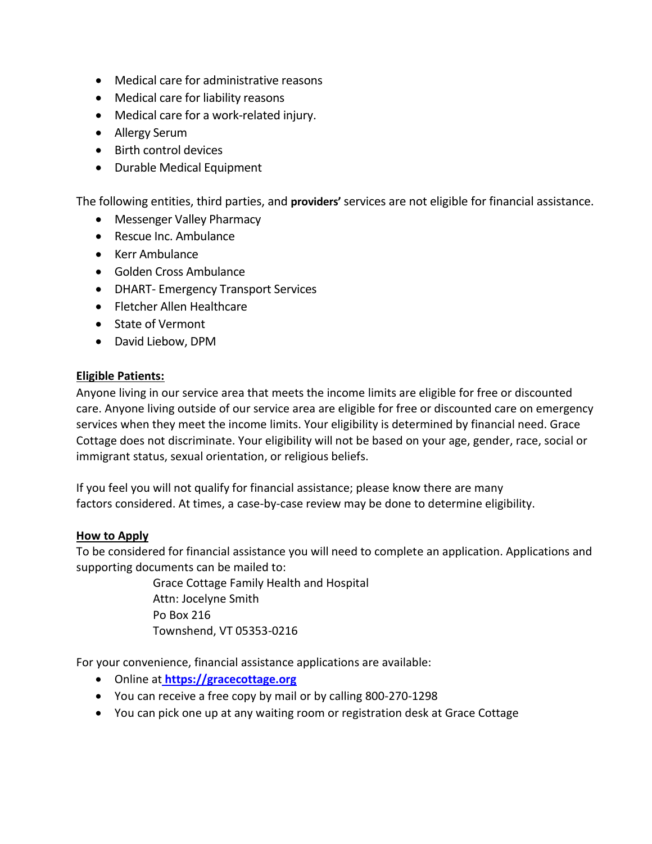- Medical care for administrative reasons
- Medical care for liability reasons
- Medical care for a work-related injury.
- Allergy Serum
- Birth control devices
- Durable Medical Equipment

The following entities, third parties, and **providers'** services are not eligible for financial assistance.

- Messenger Valley Pharmacy
- Rescue Inc. Ambulance
- Kerr Ambulance
- Golden Cross Ambulance
- DHART- Emergency Transport Services
- Fletcher Allen Healthcare
- State of Vermont
- David Liebow, DPM

#### **Eligible Patients:**

Anyone living in our service area that meets the income limits are eligible for free or discounted care. Anyone living outside of our service area are eligible for free or discounted care on emergency services when they meet the income limits. Your eligibility is determined by financial need. Grace Cottage does not discriminate. Your eligibility will not be based on your age, gender, race, social or immigrant status, sexual orientation, or religious beliefs.

If you feel you will not qualify for financial assistance; please know there are many factors considered. At times, a case-by-case review may be done to determine eligibility.

#### **How to Apply**

To be considered for financial assistance you will need to complete an application. Applications and supporting documents can be mailed to:

> Grace Cottage Family Health and Hospital Attn: Jocelyne Smith Po Box 216 Townshend, VT 05353-0216

For your convenience, financial assistance applications are available:

- Online at **[https://gracecottage.org](https://gracecottage.org/)**
- You can receive a free copy by mail or by calling 800-270-1298
- You can pick one up at any waiting room or registration desk at Grace Cottage